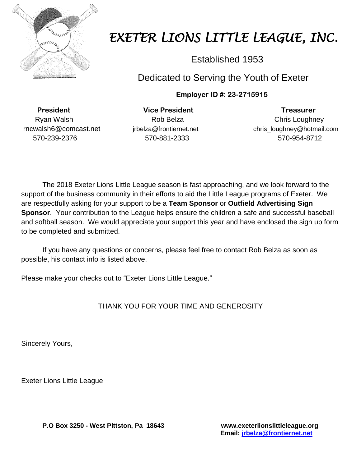

## *EXETER LIONS LITTLE LEAGUE, INC.*

Established 1953

## Dedicated to Serving the Youth of Exeter

**Employer ID #: 23-2715915**

 **President Vice President Treasurer** 570-239-2376 570-881-2333 570-954-8712

Ryan Walsh **Rob Belza** Rob Belza **Chris Loughney** rncwalsh6@comcast.net jrbelza@frontiernet.net chris\_loughney@hotmail.com

The 2018 Exeter Lions Little League season is fast approaching, and we look forward to the support of the business community in their efforts to aid the Little League programs of Exeter. We are respectfully asking for your support to be a **Team Sponsor** or **Outfield Advertising Sign Sponsor**. Your contribution to the League helps ensure the children a safe and successful baseball and softball season. We would appreciate your support this year and have enclosed the sign up form to be completed and submitted.

If you have any questions or concerns, please feel free to contact Rob Belza as soon as possible, his contact info is listed above.

Please make your checks out to "Exeter Lions Little League."

THANK YOU FOR YOUR TIME AND GENEROSITY

Sincerely Yours,

Exeter Lions Little League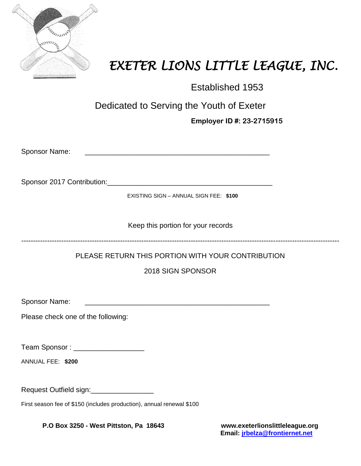

## *EXETER LIONS LITTLE LEAGUE, INC.*

Established 1953

Dedicated to Serving the Youth of Exeter

**Employer ID #: 23-2715915**

| <b>Sponsor Name:</b> |  |
|----------------------|--|
|                      |  |

Sponsor 2017 Contribution:\_\_\_\_\_\_\_\_\_\_\_\_\_\_\_\_\_\_\_\_\_\_\_\_\_\_\_\_\_\_\_\_\_\_\_\_\_\_\_\_\_\_

EXISTING SIGN – ANNUAL SIGN FEE: **\$100**

Keep this portion for your records

---------------------------------------------------------------------------------------------------------------------------------------

PLEASE RETURN THIS PORTION WITH YOUR CONTRIBUTION

2018 SIGN SPONSOR

Sponsor Name:

Please check one of the following:

Team Sponsor : \_\_\_\_\_\_\_\_\_\_\_\_\_\_\_\_\_\_

ANNUAL FEE: **\$200**

Request Outfield sign:\_\_\_\_\_\_\_\_\_\_\_\_\_\_\_\_

First season fee of \$150 (includes production), annual renewal \$100

**P.O Box 3250 - West Pittston, Pa 18643 [www.exeterlionslittleleague.org](http://www.exeterlionslittleleague.org/)**

**Email: [jrbelza@frontiernet.net](mailto:jrbelza@frontiernet.net)**